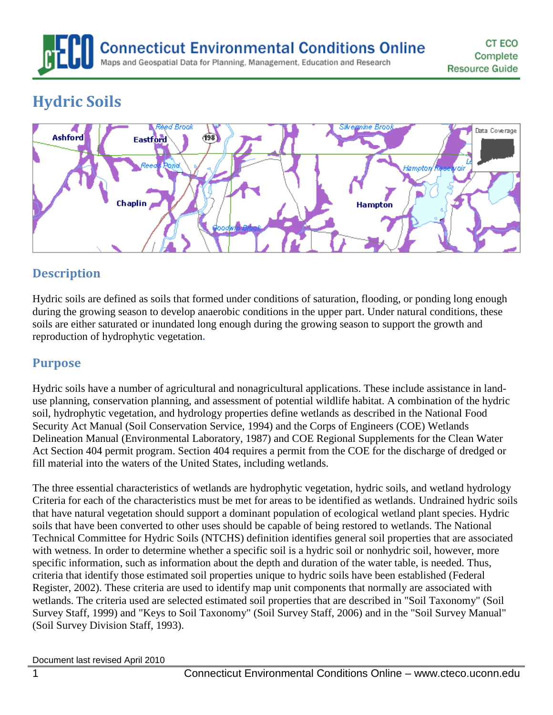# **Connecticut Environmental Conditions Online** Maps and Geospatial Data for Planning, Management, Education and Research

# **Hydric Soils**



## **Description**

Hydric soils are defined as soils that formed under conditions of saturation, flooding, or ponding long enough during the growing season to develop anaerobic conditions in the upper part. Under natural conditions, these soils are either saturated or inundated long enough during the growing season to support the growth and reproduction of hydrophytic vegetation**.**

## **Purpose**

Hydric soils have a number of agricultural and nonagricultural applications. These include assistance in landuse planning, conservation planning, and assessment of potential wildlife habitat. A combination of the hydric soil, hydrophytic vegetation, and hydrology properties define wetlands as described in the National Food Security Act Manual (Soil Conservation Service, 1994) and the Corps of Engineers (COE) Wetlands Delineation Manual (Environmental Laboratory, 1987) and COE Regional Supplements for the Clean Water Act Section 404 permit program. Section 404 requires a permit from the COE for the discharge of dredged or fill material into the waters of the United States, including wetlands.

The three essential characteristics of wetlands are hydrophytic vegetation, hydric soils, and wetland hydrology Criteria for each of the characteristics must be met for areas to be identified as wetlands. Undrained hydric soils that have natural vegetation should support a dominant population of ecological wetland plant species. Hydric soils that have been converted to other uses should be capable of being restored to wetlands. The National Technical Committee for Hydric Soils (NTCHS) definition identifies general soil properties that are associated with wetness. In order to determine whether a specific soil is a hydric soil or nonhydric soil, however, more specific information, such as information about the depth and duration of the water table, is needed. Thus, criteria that identify those estimated soil properties unique to hydric soils have been established (Federal Register, 2002). These criteria are used to identify map unit components that normally are associated with wetlands. The criteria used are selected estimated soil properties that are described in "Soil Taxonomy" (Soil Survey Staff, 1999) and "Keys to Soil Taxonomy" (Soil Survey Staff, 2006) and in the "Soil Survey Manual" (Soil Survey Division Staff, 1993).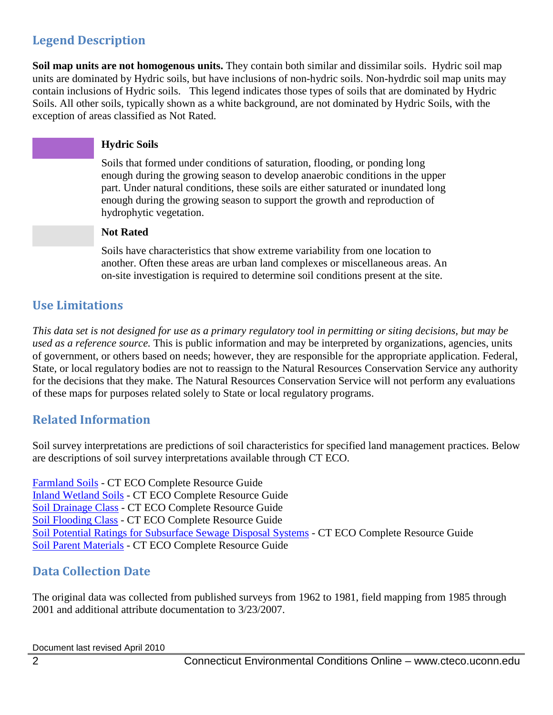## **Legend Description**

**Soil map units are not homogenous units.** They contain both similar and dissimilar soils. Hydric soil map units are dominated by Hydric soils, but have inclusions of non-hydric soils. Non-hydrdic soil map units may contain inclusions of Hydric soils. This legend indicates those types of soils that are dominated by Hydric Soils. All other soils, typically shown as a white background, are not dominated by Hydric Soils, with the exception of areas classified as Not Rated.

#### **Hydric Soils**

Soils that formed under conditions of saturation, flooding, or ponding long enough during the growing season to develop anaerobic conditions in the upper part. Under natural conditions, these soils are either saturated or inundated long enough during the growing season to support the growth and reproduction of hydrophytic vegetation.

#### **Not Rated**

Soils have characteristics that show extreme variability from one location to another. Often these areas are urban land complexes or miscellaneous areas. An on-site investigation is required to determine soil conditions present at the site.

## **Use Limitations**

*This data set is not designed for use as a primary regulatory tool in permitting or siting decisions, but may be used as a reference source.* This is public information and may be interpreted by organizations, agencies, units of government, or others based on needs; however, they are responsible for the appropriate application. Federal, State, or local regulatory bodies are not to reassign to the Natural Resources Conservation Service any authority for the decisions that they make. The Natural Resources Conservation Service will not perform any evaluations of these maps for purposes related solely to State or local regulatory programs.

#### **Related Information**

Soil survey interpretations are predictions of soil characteristics for specified land management practices. Below are descriptions of soil survey interpretations available through CT ECO.

[Farmland Soils](http://www.cteco.uconn.edu/guides/resource/CT_ECO_Resource_Guide_Soils_Farmland.pdf) - CT ECO Complete Resource Guide [Inland Wetland Soils](http://www.cteco.uconn.edu/guides/resource/CT_ECO_Resource_Guide_Soils_Inland_Wetland.pdf) - CT ECO Complete Resource Guide [Soil Drainage Class](http://www.cteco.uconn.edu/guides/resource/CT_ECO_Resource_Guide_Soils_Drainage.pdf) - CT ECO Complete Resource Guide [Soil Flooding Class](http://www.cteco.uconn.edu/guides/resource/CT_ECO_Resource_Guide_Soils_Flooding.pdf) - CT ECO Complete Resource Guide [Soil Potential Ratings for Subsurface Sewage Disposal Systems](http://www.cteco.uconn.edu/guides/resource/CT_ECO_Resource_Guide_Soils_Potential_SSDS.pdf) - CT ECO Complete Resource Guide [Soil Parent Materials](http://www.cteco.uconn.edu/guides/resource/CT_ECO_Resource_Guide_Soils_Parent_Material.pdf) - CT ECO Complete Resource Guide

## **Data Collection Date**

The original data was collected from published surveys from 1962 to 1981, field mapping from 1985 through 2001 and additional attribute documentation to 3/23/2007.

Document last revised April 2010